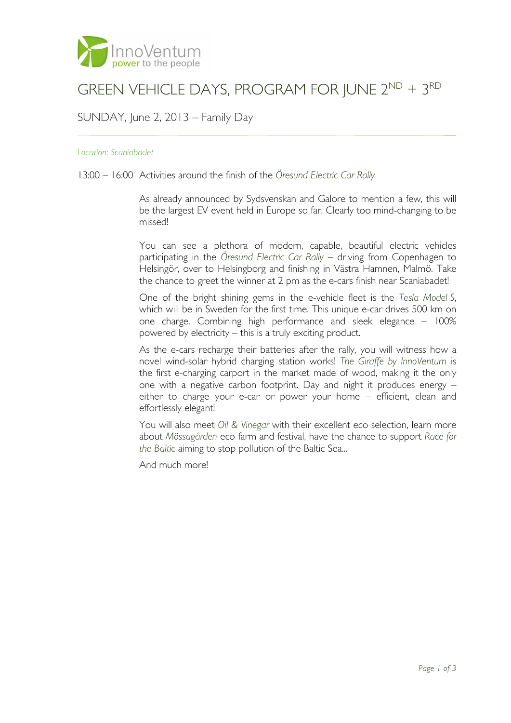

# GREEN VEHICLE DAYS, PROGRAM FOR JUNE 2<sup>ND</sup> + 3<sup>RD</sup>

## SUNDAY, June 2, 2013 – Family Day

#### *Location: Scaniabadet*

### 13:00 – 16:00 Activities around the finish of the *Öresund Electric Car Rally*

As already announced by Sydsvenskan and Galore to mention a few, this will be the largest EV event held in Europe so far. Clearly too mind-changing to be missed!

You can see a plethora of modern, capable, beautiful electric vehicles participating in the *Öresund Electric Car Rally* – driving from Copenhagen to Helsingör, over to Helsingborg and finishing in Västra Hamnen, Malmö. Take the chance to greet the winner at 2 pm as the e-cars finish near Scaniabadet!

One of the bright shining gems in the e-vehicle fleet is the *Tesla Model S*, which will be in Sweden for the first time. This unique e-car drives 500 km on one charge. Combining high performance and sleek elegance – 100% powered by electricity – this is a truly exciting product.

As the e-cars recharge their batteries after the rally, you will witness how a novel wind-solar hybrid charging station works! *The Giraffe by InnoVentum* is the first e-charging carport in the market made of wood, making it the only one with a negative carbon footprint. Day and night it produces energy – either to charge your e-car or power your home – efficient, clean and effortlessly elegant!

You will also meet *Oil & Vinegar* with their excellent eco selection, learn more about *Mössagården* eco farm and festival, have the chance to support *Race for the Baltic* aiming to stop pollution of the Baltic Sea...

And much more!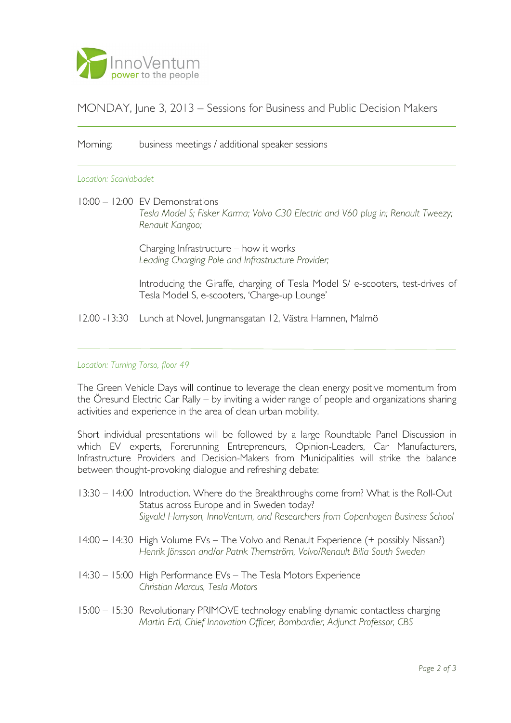

# MONDAY, June 3, 2013 – Sessions for Business and Public Decision Makers

### Morning: business meetings / additional speaker sessions

#### *Location: Scaniabadet*

10:00 – 12:00 EV Demonstrations

*Tesla Model S; Fisker Karma; Volvo C30 Electric and V60 plug in; Renault Tweezy; Renault Kangoo;* 

Charging Infrastructure – how it works *Leading Charging Pole and Infrastructure Provider;* 

Introducing the Giraffe, charging of Tesla Model S/ e-scooters, test-drives of Tesla Model S, e-scooters, 'Charge-up Lounge'

12.00 -13:30 Lunch at Novel, Jungmansgatan 12, Västra Hamnen, Malmö

### *Location: Turning Torso, floor 49*

The Green Vehicle Days will continue to leverage the clean energy positive momentum from the Öresund Electric Car Rally – by inviting a wider range of people and organizations sharing activities and experience in the area of clean urban mobility.

Short individual presentations will be followed by a large Roundtable Panel Discussion in which EV experts, Forerunning Entrepreneurs, Opinion-Leaders, Car Manufacturers, Infrastructure Providers and Decision-Makers from Municipalities will strike the balance between thought-provoking dialogue and refreshing debate:

- 13:30 14:00 Introduction. Where do the Breakthroughs come from? What is the Roll-Out Status across Europe and in Sweden today? *Sigvald Harryson, InnoVentum, and Researchers from Copenhagen Business School*
- 14:00 14:30 High Volume EVs The Volvo and Renault Experience (+ possibly Nissan?) *Henrik Jönsson and/or Patrik Thernström, Volvo/Renault Bilia South Sweden*
- 14:30 15:00 High Performance EVs The Tesla Motors Experience *Christian Marcus, Tesla Motors*
- 15:00 15:30 Revolutionary PRIMOVE technology enabling dynamic contactless charging *Martin Ertl, Chief Innovation Officer, Bombardier, Adjunct Professor, CBS*